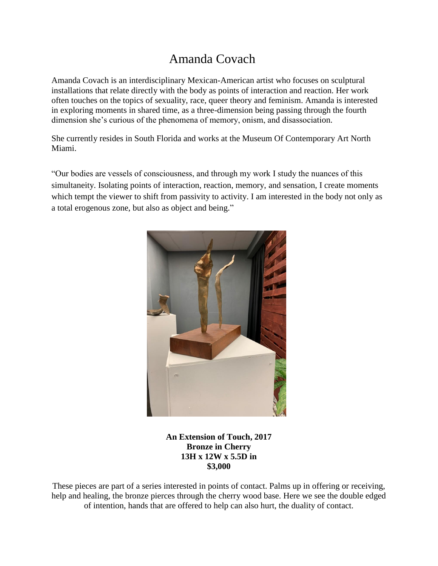## Amanda Covach

Amanda Covach is an interdisciplinary Mexican-American artist who focuses on sculptural installations that relate directly with the body as points of interaction and reaction. Her work often touches on the topics of sexuality, race, queer theory and feminism. Amanda is interested in exploring moments in shared time, as a three-dimension being passing through the fourth dimension she's curious of the phenomena of memory, onism, and disassociation.

She currently resides in South Florida and works at the Museum Of Contemporary Art North Miami.

"Our bodies are vessels of consciousness, and through my work I study the nuances of this simultaneity. Isolating points of interaction, reaction, memory, and sensation, I create moments which tempt the viewer to shift from passivity to activity. I am interested in the body not only as a total erogenous zone, but also as object and being."



**An Extension of Touch, 2017 Bronze in Cherry 13H x 12W x 5.5D in \$3,000**

These pieces are part of a series interested in points of contact. Palms up in offering or receiving, help and healing, the bronze pierces through the cherry wood base. Here we see the double edged of intention, hands that are offered to help can also hurt, the duality of contact.